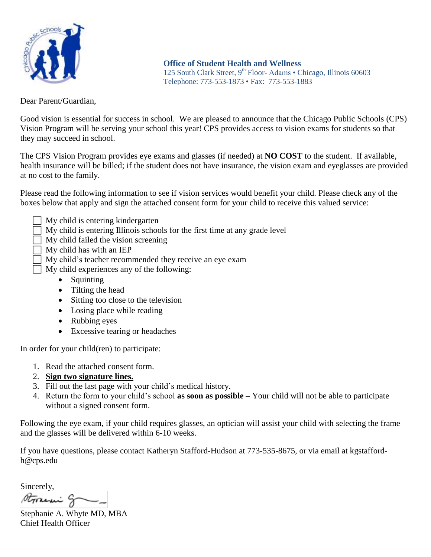

**Office of Student Health and Wellness**  125 South Clark Street, 9<sup>th</sup> Floor-Adams • Chicago, Illinois 60603 Telephone: 773-553-1873 • Fax: 773-553-1883

Dear Parent/Guardian,

Good vision is essential for success in school. We are pleased to announce that the Chicago Public Schools (CPS) Vision Program will be serving your school this year! CPS provides access to vision exams for students so that they may succeed in school.

The CPS Vision Program provides eye exams and glasses (if needed) at **NO COST** to the student. If available, health insurance will be billed; if the student does not have insurance, the vision exam and eyeglasses are provided at no cost to the family.

Please read the following information to see if vision services would benefit your child. Please check any of the boxes below that apply and sign the attached consent form for your child to receive this valued service:

- My child is entering kindergarten
- My child is entering Illinois schools for the first time at any grade level
- My child failed the vision screening
- My child has with an IEP
- $\overline{\Box}$  My child's teacher recommended they receive an eye exam
- $\Box$  My child experiences any of the following:
	- Squinting
	- Tilting the head
	- Sitting too close to the television
	- Losing place while reading
	- Rubbing eyes
	- Excessive tearing or headaches

In order for your child(ren) to participate:

- 1. Read the attached consent form.
- 2. **Sign two signature lines.**
- 3. Fill out the last page with your child's medical history.
- 4. Return the form to your child's school **as soon as possible –** Your child will not be able to participate without a signed consent form.

Following the eye exam, if your child requires glasses, an optician will assist your child with selecting the frame and the glasses will be delivered within 6-10 weeks.

If you have questions, please contact Katheryn Stafford-Hudson at 773-535-8675, or via email at kgstaffordh@cps.edu

Sincerely,

Storeni g -

Stephanie A. Whyte MD, MBA Chief Health Officer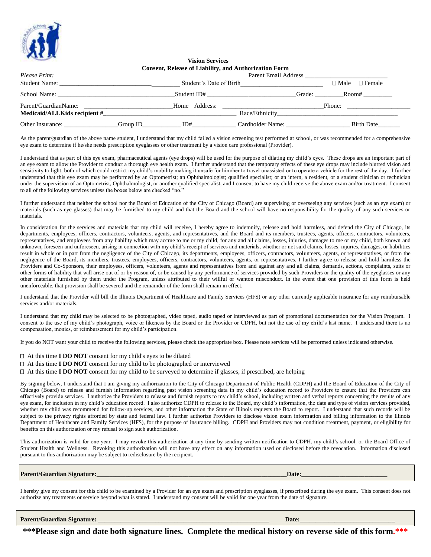

## **Vision Services Consent, Release of Liability, and Authorization Form**

| Please Print:                                        | <b>Parent Email Address</b> |                         |                  |        |                                 |
|------------------------------------------------------|-----------------------------|-------------------------|------------------|--------|---------------------------------|
| <b>Student Name:</b>                                 |                             | Student's Date of Birth |                  |        | $\Box$ Female<br>$\square$ Male |
| School Name:                                         |                             | Student ID#             |                  | Grade: | Room#                           |
| Parent/GuardianName:<br>Medicaid/ALLKids recipient # |                             | Home Address:           | Race/Ethnicity   |        | Phone:                          |
| Other Insurance:                                     | Group ID                    | ID#                     | Cardholder Name: |        | Birth Date                      |

As the parent/guardian of the above name student, I understand that my child failed a vision screening test performed at school, or was recommended for a comprehensive eye exam to determine if he/she needs prescription eyeglasses or other treatment by a vision care professional (Provider).

I understand that as part of this eye exam, pharmaceutical agents (eye drops) will be used for the purpose of dilating my child's eyes. These drops are an important part of an eye exam to allow the Provider to conduct a thorough eye health exam. I further understand that the temporary effects of these eye drops may include blurred vision and sensitivity to light, both of which could restrict my child's mobility making it unsafe for him/her to travel unassisted or to operate a vehicle for the rest of the day. I further understand that this eye exam may be performed by an Optometrist; an Ophthalmologist; qualified specialist; or an intern, a resident, or a student clinician or technician under the supervision of an Optometrist, Ophthalmologist, or another qualified specialist, and I consent to have my child receive the above exam and/or treatment. I consent to all of the following services unless the boxes below are checked "no."

I further understand that neither the school nor the Board of Education of the City of Chicago (Board) are supervising or overseeing any services (such as an eye exam) or materials (such as eye glasses) that may be furnished to my child and that the Board and the school will have no responsibility for the quality of any such services or materials.

In consideration for the services and materials that my child will receive, I hereby agree to indemnify, release and hold harmless, and defend the City of Chicago, its departments, employees, officers, contractors, volunteers, agents, and representatives, and the Board and its members, trustees, agents, officers, contractors, volunteers, representatives, and employees from any liability which may accrue to me or my child, for any and all claims, losses, injuries, damages to me or my child, both known and unknown, foreseen and unforeseen, arising in connection with my child's receipt of services and materials, whether or not said claims, losses, injuries, damages, or liabilities result in whole or in part from the negligence of the City of Chicago, its departments, employees, officers, contractors, volunteers, agents, or representatives, or from the negligence of the Board, its members, trustees, employees, officers, contractors, volunteers, agents, or representatives. I further agree to release and hold harmless the Providers and Co-Sponsors, their employees, officers, volunteers, agents and representatives from and against any and all claims, demands, actions, complaints, suits or other forms of liability that will arise out of or by reason of, or be caused by any performance of services provided by such Providers or the quality of the eyeglasses or any other materials furnished by them under the Program, unless attributed to their willful or wanton misconduct. In the event that one provision of this form is held unenforceable, that provision shall be severed and the remainder of the form shall remain in effect.

I understand that the Provider will bill the Illinois Department of Healthcare and Family Services (HFS) or any other currently applicable insurance for any reimbursable services and/or materials.

I understand that my child may be selected to be photographed, video taped, audio taped or interviewed as part of promotional documentation for the Vision Program. I consent to the use of my child's photograph, voice or likeness by the Board or the Provider or CDPH, but not the use of my child's last name. I understand there is no compensation, monies, or reimbursement for my child's participation.

If you do NOT want your child to receive the following services, please check the appropriate box. Please note services will be performed unless indicated otherwise.

- At this time **I DO NOT** consent for my child's eyes to be dilated
- At this time **I DO NOT** consent for my child to be photographed or interviewed
- $\Box$  At this time **I DO NOT** consent for my child to be surveyed to determine if glasses, if prescribed, are helping

By signing below, I understand that I am giving my authorization to the City of Chicago Department of Public Health (CDPH) and the Board of Education of the City of Chicago (Board) to release and furnish information regarding past vision screening data in my child's education record to Providers to ensure that the Providers can effectively provide services. I authorize the Providers to release and furnish reports to my child's school, including written and verbal reports concerning the results of any eye exam, for inclusion in my child's education record. I also authorize CDPH to release to the Board, my child's information, the date and type of vision services provided, whether my child was recommend for follow-up services, and other information the State of Illinois requests the Board to report. I understand that such records will be subject to the privacy rights afforded by state and federal law. I further authorize Providers to disclose vision exam information and billing information to the Illinois Department of Healthcare and Family Services (HFS), for the purpose of insurance billing. CDPH and Providers may not condition treatment, payment, or eligibility for benefits on this authorization or my refusal to sign such authorization.

This authorization is valid for one year. I may revoke this authorization at any time by sending written notification to CDPH, my child's school, or the Board Office of Student Health and Wellness. Revoking this authorization will not have any effect on any information used or disclosed before the revocation. Information disclosed pursuant to this authorization may be subject to redisclosure by the recipient.

**Parent/Guardian Signature:\_\_\_\_\_\_\_\_\_\_\_\_\_\_\_\_\_\_\_\_\_\_\_\_\_\_\_\_\_\_\_\_\_\_\_\_\_\_\_\_\_\_\_\_\_\_\_\_\_\_\_\_\_\_\_\_\_\_\_\_Date:\_\_\_\_\_\_\_\_\_\_\_\_\_\_\_\_\_\_\_\_\_\_\_\_\_\_\_**

I hereby give my consent for this child to be examined by a Provider for an eye exam and prescription eyeglasses, if prescribe**d** during the eye exam. This consent does not authorize any treatments or service beyond what is stated. I understand my consent will be valid for one year from the date of signature.

**Parent/Guardian Signature: \_\_\_\_\_\_\_\_\_\_\_\_\_\_\_\_\_\_\_\_\_\_\_\_\_\_\_\_\_\_\_\_\_\_\_\_\_\_\_\_\_\_\_\_\_\_\_\_\_\_\_\_\_\_ Date:\_\_\_\_\_\_\_\_\_\_\_\_\_\_\_\_\_\_\_\_\_\_\_\_\_\_\_\_\_\_**

**\*\*\*Please sign and date both signature lines. Complete the medical history on reverse side of this form.\*\*\***